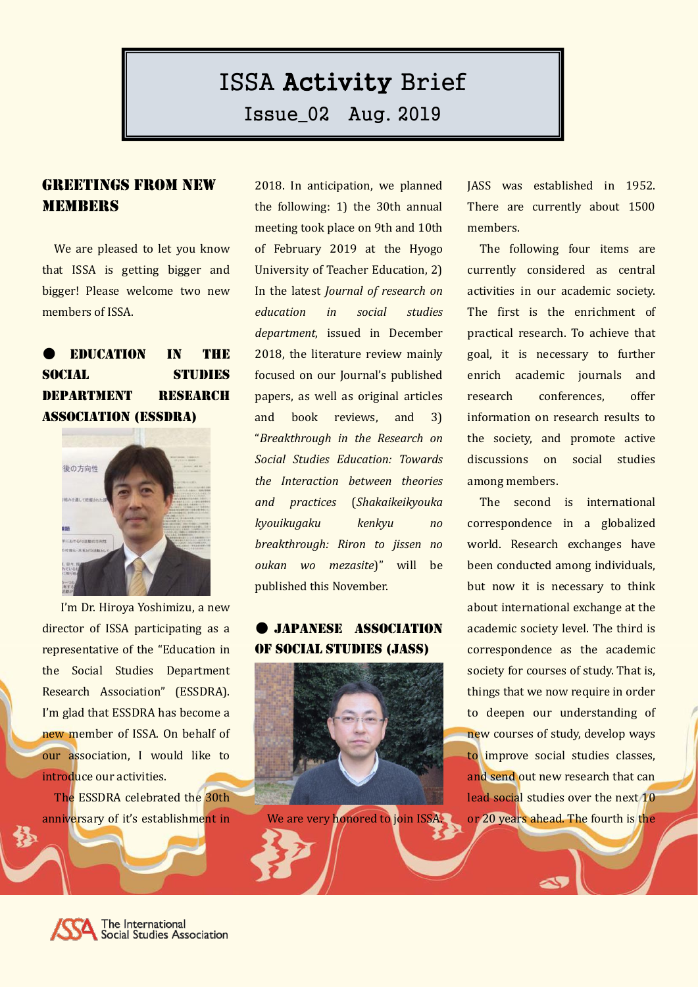# ISSA Activity Brief

Issue\_02 Aug. 2019

### Greetings from New **MEMBERS**

We are pleased to let you know that ISSA is getting bigger and bigger! Please welcome two new members of ISSA.

# ● Education in the SOCIAL STUDIES Department Research Association (ESSDRA)



I'm Dr. Hiroya Yoshimizu, a new director of ISSA participating as a representative of the "Education in the Social Studies Department Research Association" (ESSDRA). I'm glad that ESSDRA has become a new member of ISSA. On behalf of our association, I would like to introduce our activities.

The ESSDRA celebrated the 30th anniversary of it's establishment in 2018. In anticipation, we planned the following: 1) the 30th annual meeting took place on 9th and 10th of February 2019 at the Hyogo University of Teacher Education, 2) In the latest *Journal of research on education in social studies department*, issued in December 2018, the literature review mainly focused on our Journal's published papers, as well as original articles and book reviews, and 3) "*Breakthrough in the Research on Social Studies Education: Towards the Interaction between theories and practices* (*Shakaikeikyouka kyouikugaku kenkyu no breakthrough: Riron to jissen no oukan wo mezasite*)" will be published this November.

#### ● Japanese Association of Social Studies (JASS)



We are very honored to join ISSA.

JASS was established in 1952. There are currently about 1500 members.

The following four items are currently considered as central activities in our academic society. The first is the enrichment of practical research. To achieve that goal, it is necessary to further enrich academic journals and research conferences, offer information on research results to the society, and promote active discussions on social studies among members.

The second is international correspondence in a globalized world. Research exchanges have been conducted among individuals, but now it is necessary to think about international exchange at the academic society level. The third is correspondence as the academic society for courses of study. That is, things that we now require in order to deepen our understanding of new courses of study, develop ways to improve social studies classes, and send out new research that can lead social studies over the next 10 or 20 years ahead. The fourth is the

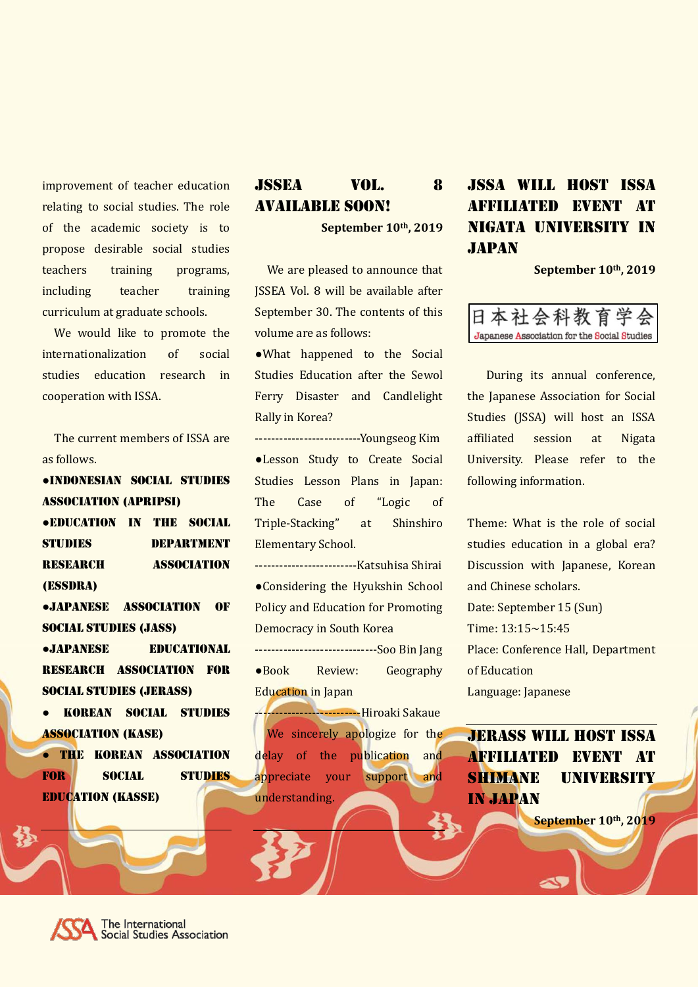improvement of teacher education relating to social studies. The role of the academic society is to propose desirable social studies teachers training programs, including teacher training curriculum at graduate schools.

We would like to promote the internationalization of social studies education research in cooperation with ISSA.

The current members of ISSA are as follows.

●Indonesian social studies association (APRIPSI)

●Education in the Social STUDIES DEPARTMENT RESEARCH ASSOCIATION (ESSDRA)

●Japanese Association of Social Studies (JASS)

●Japanese educational research association for social studies (JERASS)

● Korean social studies association (kaSe)

● the Korean association for social studies education (kaSSe)

## JSSEA Vol. 8 Available Soon!

**September 10th, 2019**

We are pleased to announce that JSSEA Vol. 8 will be available after September 30. The contents of this volume are as follows:

●What happened to the Social Studies Education after the Sewol Ferry Disaster and Candlelight Rally in Korea?

--------------------------Youngseog Kim ●Lesson Study to Create Social Studies Lesson Plans in Japan: The Case of "Logic of Triple-Stacking" at Shinshiro Elementary School.

-------------------------Katsuhisa Shirai ●Considering the Hyukshin School Policy and Education for Promoting Democracy in South Korea

------------------------------Soo Bin Jang ●Book Review: Geography Education in Japan

--------------------------Hiroaki Sakaue We sincerely apologize for the delay of the publication and appreciate your support and understanding.

# JSSA Will host ISSA affiliated event at Nigata university in **JAPAN**

**September 10th, 2019**



During its annual conference, the Japanese Association for Social Studies (JSSA) will host an ISSA affiliated session at Nigata University. Please refer to the following information.

Theme: What is the role of social studies education in a global era? Discussion with Japanese, Korean and Chinese scholars. Date: September 15 (Sun) Time: 13:15~15:45 Place: Conference Hall, Department of Education Language: Japanese

JERASS Will host ISSA affiliated event at shimane university in Japan

**September 10th, 2019**

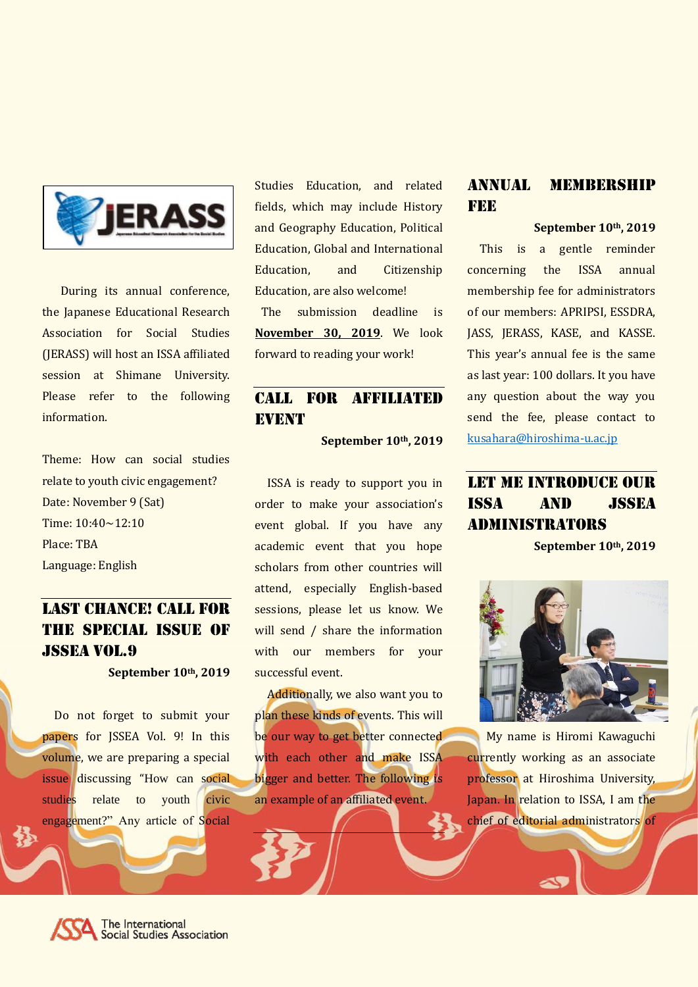

During its annual conference, the Japanese Educational Research Association for Social Studies (JERASS) will host an ISSA affiliated session at Shimane University. Please refer to the following information.

Theme: How can social studies relate to youth civic engagement? Date: November 9 (Sat) Time: 10:40~12:10 Place: TBA Language: English

# LAST CHANCE! CALL FOR the special issue of Jssea vol.9

**September 10th, 2019**

Do not forget to submit your papers for JSSEA Vol. 9! In this volume, we are preparing a special issue discussing "How can social studies relate to youth civic engagement?" Any article of Social

Studies Education, and related fields, which may include History and Geography Education, Political Education, Global and International Education, and Citizenship Education, are also welcome! The submission deadline is **November 30, 2019**. We look forward to reading your work!

# Call for affiliated **EVENT**

**September 10th, 2019**

ISSA is ready to support you in order to make your association's event global. If you have any academic event that you hope scholars from other countries will attend, especially English-based sessions, please let us know. We will send / share the information with our members for your successful event.

Additionally, we also want you to plan these kinds of events. This will be our way to get better connected with each other and make ISSA bigger and better. The following is an example of an affiliated event.

#### ANNUAL MEMBERSHIP **FEE**

#### **September 10th, 2019**

This is a gentle reminder concerning the ISSA annual membership fee for administrators of our members: APRIPSI, ESSDRA, JASS, JERASS, KASE, and KASSE. This year's annual fee is the same as last year: 100 dollars. It you have any question about the way you send the fee, please contact to [kusahara@hiroshima-u.ac.jp](mailto:kusahara@hiroshima-u.ac.jp)

# Let me Introduce our issa and jssea administrators

**September 10th, 2019**



My name is Hiromi Kawaguchi currently working as an associate professor at Hiroshima University, Japan. In relation to ISSA, I am the chief of editorial administrators of